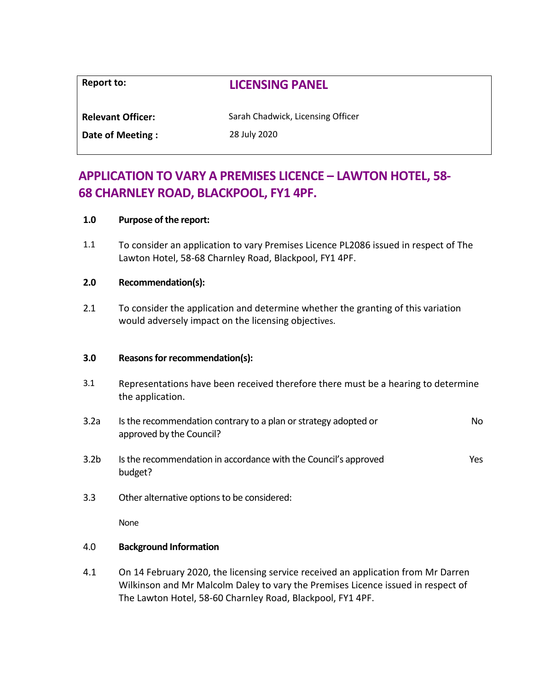| <b>Report to:</b>        | <b>LICENSING PANEL</b>            |
|--------------------------|-----------------------------------|
| <b>Relevant Officer:</b> | Sarah Chadwick, Licensing Officer |
| Date of Meeting :        | 28 July 2020                      |

# **APPLICATION TO VARY A PREMISES LICENCE – LAWTON HOTEL, 58- 68 CHARNLEY ROAD, BLACKPOOL, FY1 4PF.**

# **1.0 Purpose of the report:**

1.1 To consider an application to vary Premises Licence PL2086 issued in respect of The Lawton Hotel, 58-68 Charnley Road, Blackpool, FY1 4PF.

#### **2.0 Recommendation(s):**

2.1 To consider the application and determine whether the granting of this variation would adversely impact on the licensing objectives.

# **3.0 Reasons for recommendation(s):**

- 3.1 Representations have been received therefore there must be a hearing to determine the application.
- 3.2a Is the recommendation contrary to a plan or strategy adopted or approved by the Council? No
- 3.2b Is the recommendation in accordance with the Council's approved budget? Yes
- 3.3 Other alternative options to be considered:

None

# 4.0 **Background Information**

4.1 On 14 February 2020, the licensing service received an application from Mr Darren Wilkinson and Mr Malcolm Daley to vary the Premises Licence issued in respect of The Lawton Hotel, 58-60 Charnley Road, Blackpool, FY1 4PF.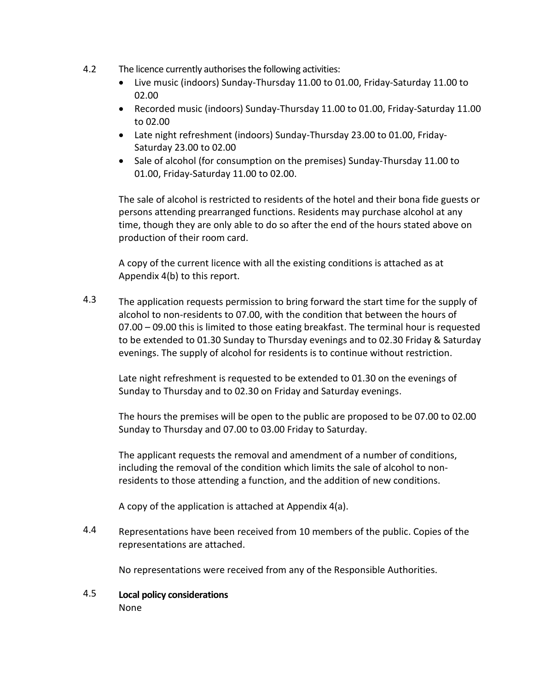- 4.2 The licence currently authorises the following activities:
	- Live music (indoors) Sunday-Thursday 11.00 to 01.00, Friday-Saturday 11.00 to 02.00
	- Recorded music (indoors) Sunday-Thursday 11.00 to 01.00, Friday-Saturday 11.00 to 02.00
	- Late night refreshment (indoors) Sunday-Thursday 23.00 to 01.00, Friday-Saturday 23.00 to 02.00
	- Sale of alcohol (for consumption on the premises) Sunday-Thursday 11.00 to 01.00, Friday-Saturday 11.00 to 02.00.

The sale of alcohol is restricted to residents of the hotel and their bona fide guests or persons attending prearranged functions. Residents may purchase alcohol at any time, though they are only able to do so after the end of the hours stated above on production of their room card.

A copy of the current licence with all the existing conditions is attached as at Appendix 4(b) to this report.

4.3 The application requests permission to bring forward the start time for the supply of alcohol to non-residents to 07.00, with the condition that between the hours of 07.00 – 09.00 this is limited to those eating breakfast. The terminal hour is requested to be extended to 01.30 Sunday to Thursday evenings and to 02.30 Friday & Saturday evenings. The supply of alcohol for residents is to continue without restriction.

Late night refreshment is requested to be extended to 01.30 on the evenings of Sunday to Thursday and to 02.30 on Friday and Saturday evenings.

The hours the premises will be open to the public are proposed to be 07.00 to 02.00 Sunday to Thursday and 07.00 to 03.00 Friday to Saturday.

The applicant requests the removal and amendment of a number of conditions, including the removal of the condition which limits the sale of alcohol to nonresidents to those attending a function, and the addition of new conditions.

A copy of the application is attached at Appendix 4(a).

4.4 Representations have been received from 10 members of the public. Copies of the representations are attached.

No representations were received from any of the Responsible Authorities.

4.5 **Local policy considerations** None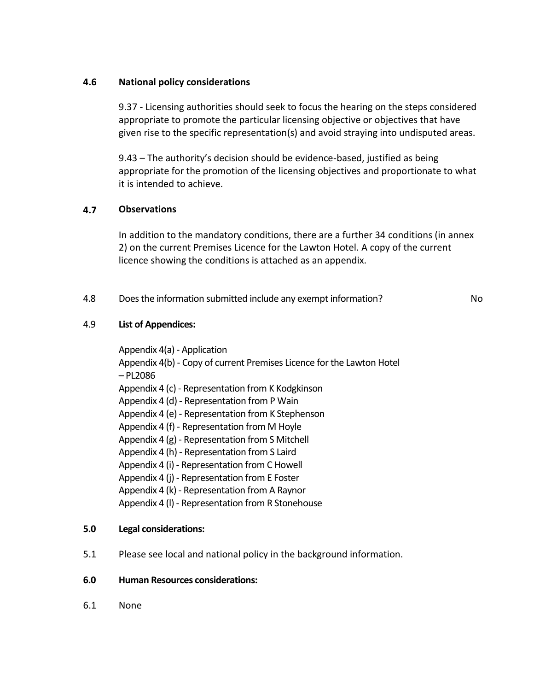#### **4.6 National policy considerations**

9.37 - Licensing authorities should seek to focus the hearing on the steps considered appropriate to promote the particular licensing objective or objectives that have given rise to the specific representation(s) and avoid straying into undisputed areas.

9.43 – The authority's decision should be evidence-based, justified as being appropriate for the promotion of the licensing objectives and proportionate to what it is intended to achieve.

#### **4.7 Observations**

In addition to the mandatory conditions, there are a further 34 conditions (in annex 2) on the current Premises Licence for the Lawton Hotel. A copy of the current licence showing the conditions is attached as an appendix.

# 4.8 Does the information submitted include any exempt information? No

# 4.9 **List of Appendices:**

Appendix 4(a) - Application Appendix 4(b) - Copy of current Premises Licence for the Lawton Hotel – PL2086 Appendix 4 (c) - Representation from K Kodgkinson Appendix 4 (d) - Representation from P Wain Appendix 4 (e) - Representation from K Stephenson Appendix 4 (f) - Representation from M Hoyle Appendix 4 (g) - Representation from S Mitchell Appendix 4 (h) - Representation from S Laird Appendix 4 (i) - Representation from C Howell Appendix 4 (j) - Representation from E Foster Appendix 4 (k) - Representation from A Raynor Appendix 4 (l) - Representation from R Stonehouse

# **5.0 Legal considerations:**

5.1 Please see local and national policy in the background information.

# **6.0 Human Resources considerations:**

6.1 None